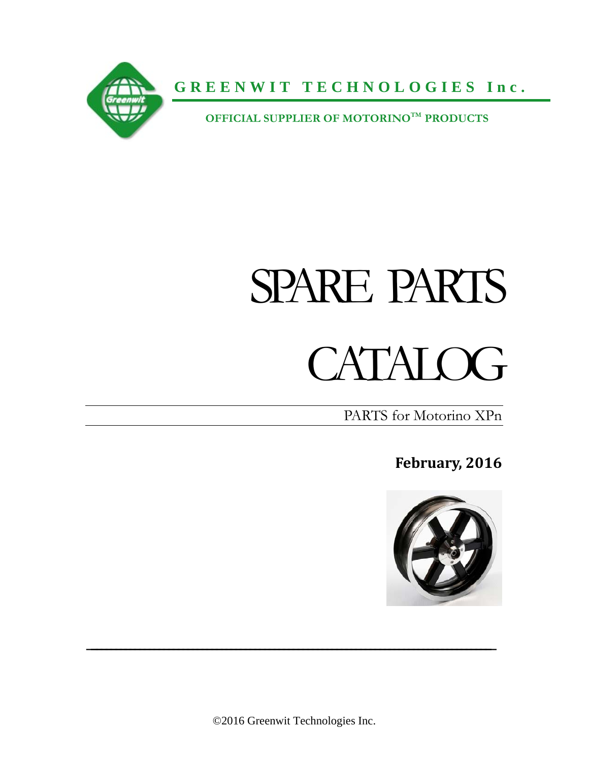

**GREENWIT TECHNOLOGIES Inc.**

 **OFFICIAL SUPPLIER OF MOTORINOTM PRODUCTS**

# SPARE PARTS

## CATALOG<sub></sub>

PARTS for Motorino XPn

**February, 2016**



©2016 Greenwit Technologies Inc.

 $\mathcal{L}_\text{max}$  and  $\mathcal{L}_\text{max}$  and  $\mathcal{L}_\text{max}$  and  $\mathcal{L}_\text{max}$  and  $\mathcal{L}_\text{max}$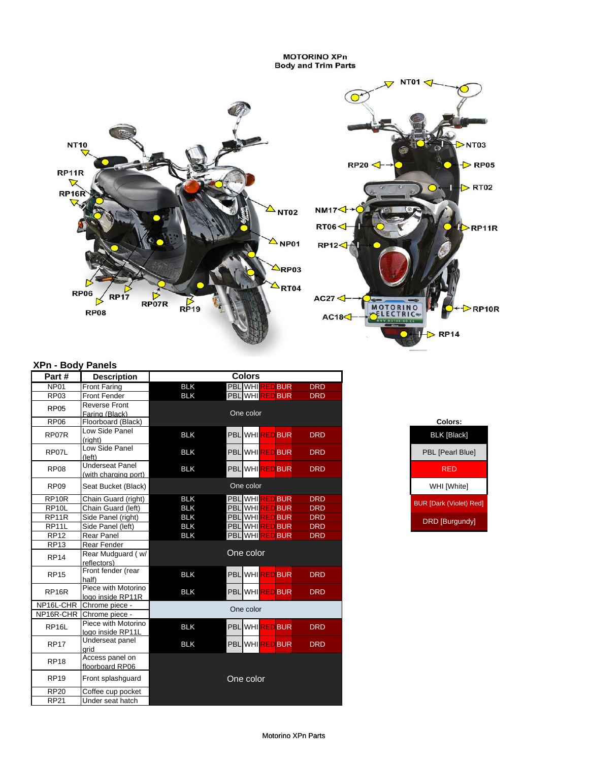**MOTORINO XPn**<br>Body and Trim Parts



#### **XPn - Body Panels**

| Part#              | <b>Description</b>                             |            | <b>Colors</b>                              |            |                                |
|--------------------|------------------------------------------------|------------|--------------------------------------------|------------|--------------------------------|
| NP <sub>01</sub>   | <b>Front Faring</b>                            | <b>BLK</b> | <b>PBL</b> WHI <sup>RE</sup><br><b>BUR</b> | <b>DRD</b> |                                |
| <b>RP03</b>        | <b>Front Fender</b>                            | <b>BLK</b> | PBL WHIRED BUR                             | <b>DRD</b> |                                |
| <b>RP05</b>        | <b>Reverse Front</b><br>Faring (Black)         |            | One color                                  |            |                                |
| <b>RP06</b>        | Floorboard (Black)                             |            |                                            |            | Colors:                        |
| RP07R              | Low Side Panel<br>(right)                      | <b>BLK</b> | PBL WHIRED BUR                             | <b>DRD</b> | <b>BLK [Black]</b>             |
| RP07L              | Low Side Panel<br>(left)                       | <b>BLK</b> | PBL WHIRED BUR                             | <b>DRD</b> | PBL [Pearl Blue]               |
| <b>RP08</b>        | <b>Underseat Panel</b><br>(with charging port) | <b>BLK</b> | PBL WHIRED BUR                             | <b>DRD</b> | <b>RED</b>                     |
| <b>RP09</b>        | Seat Bucket (Black)                            |            | One color                                  |            | WHI [White]                    |
| RP10R              | Chain Guard (right)                            | <b>BLK</b> | <b>PBL</b> WHI <b>REDBUR</b>               | <b>DRD</b> | <b>BUR [Dark (Violet) Red]</b> |
| RP <sub>10</sub> L | Chain Guard (left)                             | <b>BLK</b> | PBL WHIRED<br><b>BUR</b>                   | <b>DRD</b> |                                |
| RP11R              | Side Panel (right)                             | <b>BLK</b> | <b>PBL</b> WHI<br><b>BUR</b>               | <b>DRD</b> | <b>DRD</b> [Burgundy]          |
| RP11L              | Side Panel (left)                              | <b>BLK</b> | <b>PBLIWHIRED</b><br><b>BUR</b>            | <b>DRD</b> |                                |
| <b>RP12</b>        | <b>Rear Panel</b>                              | <b>BLK</b> | <b>PBL</b> WHI<br><b>BUR</b>               | <b>DRD</b> |                                |
| <b>RP13</b>        | Rear Fender                                    |            |                                            |            |                                |
| <b>RP14</b>        | Rear Mudguard (w/<br>reflectors)               |            | One color                                  |            |                                |
| <b>RP15</b>        | Front fender (rear<br>half)                    | <b>BLK</b> | PBL WHIRED BUR                             | <b>DRD</b> |                                |
| RP <sub>16R</sub>  | Piece with Motorino<br>logo inside RP11R       | <b>BLK</b> | PBL WHIRED BUR                             | <b>DRD</b> |                                |
| NP16L-CHR          | Chrome piece -                                 |            | One color                                  |            |                                |
| NP16R-CHR          | Chrome piece -                                 |            |                                            |            |                                |
| RP <sub>16</sub> L | Piece with Motorino<br>logo inside RP11L       | <b>BLK</b> | PBL WHIRED BUR                             | <b>DRD</b> |                                |
| <b>RP17</b>        | Underseat panel<br>grid                        | <b>BLK</b> | PBL WHIRED BUR                             | <b>DRD</b> |                                |
| <b>RP18</b>        | Access panel on<br>floorboard RP06             |            |                                            |            |                                |
| <b>RP19</b>        | Front splashquard                              |            | One color                                  |            |                                |
| <b>RP20</b>        | Coffee cup pocket                              |            |                                            |            |                                |
| <b>RP21</b>        | Under seat hatch                               |            |                                            |            |                                |

| Colors:                        |
|--------------------------------|
| <b>BLK [Black]</b>             |
| <b>PBL [Pearl Blue]</b>        |
| RFD                            |
| WHI [White]                    |
| <b>BUR [Dark (Violet) Red]</b> |
| <b>DRD [Burgundy]</b>          |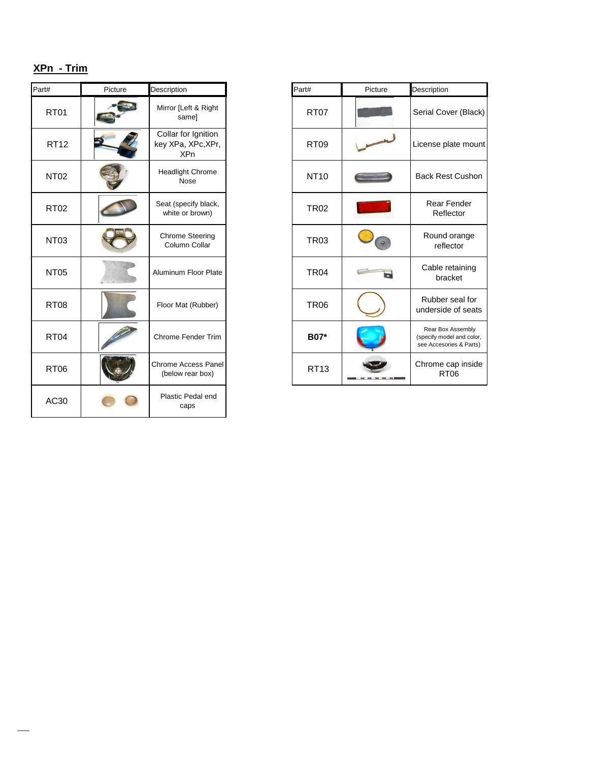#### **XPn - Trim**

 $\overline{\phantom{a}}$ 

| Part#       | Picture | Description                                             | Part#       | Picture | Description                            |
|-------------|---------|---------------------------------------------------------|-------------|---------|----------------------------------------|
| <b>RT01</b> |         | Mirror [Left & Right<br>same]                           | <b>RT07</b> |         | Serial Cov                             |
| <b>RT12</b> |         | Collar for Ignition<br>key XPa, XPc, XPr,<br><b>XPn</b> | <b>RT09</b> |         | License p                              |
| <b>NT02</b> |         | Headlight Chrome<br>Nose                                | <b>NT10</b> |         | <b>Back Res</b>                        |
| <b>RT02</b> |         | Seat (specify black,<br>white or brown)                 | <b>TR02</b> |         | Rear I<br>Refl                         |
| <b>NT03</b> |         | <b>Chrome Steering</b><br>Column Collar                 | <b>TR03</b> |         | Round<br>refle                         |
| <b>NT05</b> |         | Aluminum Floor Plate                                    | <b>TR04</b> |         | Cable r<br>bra                         |
| <b>RT08</b> |         | Floor Mat (Rubber)                                      | <b>TR06</b> |         | Rubber<br>undersid                     |
| <b>RT04</b> |         | Chrome Fender Trim                                      | B07*        |         | Rear Box<br>(specify mod<br>see Acceso |
| <b>RT06</b> |         | <b>Chrome Access Panel</b><br>(below rear box)          | <b>RT13</b> |         | Chrome o<br>R <sub>1</sub>             |
| AC30        |         | Plastic Pedal end<br>caps                               |             |         |                                        |

| #                | Picture | Description                                             | Part# |              | Picture | Description                                                               |
|------------------|---------|---------------------------------------------------------|-------|--------------|---------|---------------------------------------------------------------------------|
| <b>RT01</b>      |         | Mirror [Left & Right<br>samel                           |       | <b>RT07</b>  |         | Serial Cover (Black)                                                      |
| <b>RT12</b>      |         | Collar for Ignition<br>key XPa, XPc, XPr,<br><b>XPn</b> |       | <b>RT09</b>  |         | License plate mount                                                       |
| NT02             |         | <b>Headlight Chrome</b><br>Nose                         |       | <b>NT10</b>  |         | <b>Back Rest Cushon</b>                                                   |
| RT02             |         | Seat (specify black,<br>white or brown)                 |       | <b>TR02</b>  |         | Rear Fender<br>Reflector                                                  |
| NT <sub>03</sub> |         | <b>Chrome Steering</b><br>Column Collar                 |       | <b>TR03</b>  |         | Round orange<br>reflector                                                 |
| NT <sub>05</sub> |         | Aluminum Floor Plate                                    |       | <b>TR04</b>  |         | Cable retaining<br>bracket                                                |
| RT <sub>08</sub> |         | Floor Mat (Rubber)                                      |       | <b>TR06</b>  |         | Rubber seal for<br>underside of seats                                     |
| RT <sub>04</sub> |         | Chrome Fender Trim                                      |       | <b>B07</b> * |         | Rear Box Assembly<br>(specify model and color,<br>see Accesories & Parts) |
| RT06             |         | Chrome Access Panel<br>(below rear box)                 |       | <b>RT13</b>  |         | Chrome cap inside<br><b>RT06</b>                                          |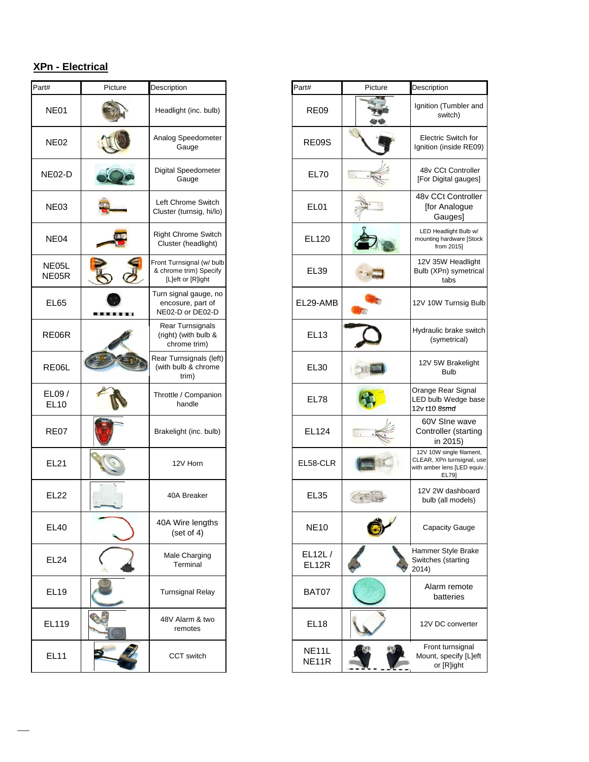### **XPn - Electrical**

| Part#                | Picture | Description                                                              | Part#                       | Picture | Description                                         |
|----------------------|---------|--------------------------------------------------------------------------|-----------------------------|---------|-----------------------------------------------------|
| <b>NE01</b>          |         | Headlight (inc. bulb)                                                    | <b>RE09</b>                 |         | Ignition (T)<br>swi                                 |
| <b>NE02</b>          |         | Analog Speedometer<br>Gauge                                              | <b>RE09S</b>                |         | <b>Electric 9</b><br>Ignition (in                   |
| <b>NE02-D</b>        |         | Digital Speedometer<br>Gauge                                             | <b>EL70</b>                 |         | 48v CCt<br>[For Digita                              |
| <b>NE03</b>          |         | Left Chrome Switch<br>Cluster (turnsig, hi/lo)                           | EL <sub>01</sub>            |         | 48v CCt<br>[for An<br>Gau                           |
| NE <sub>04</sub>     |         | <b>Right Chrome Switch</b><br>Cluster (headlight)                        | EL120                       |         | <b>LED Headl</b><br>mounting har<br>from            |
| NE05L<br>NE05R       |         | Front Turnsignal (w/ bulb<br>& chrome trim) Specify<br>[L]eft or [R]ight | <b>EL39</b>                 |         | 12V 35W<br>Bulb (XPn)<br>ta                         |
| EL65                 |         | Turn signal gauge, no<br>encosure, part of<br>NE02-D or DE02-D           | EL29-AMB                    |         | 12V 10W T                                           |
| RE06R                |         | Rear Turnsignals<br>(right) (with bulb &<br>chrome trim)                 | <b>EL13</b>                 |         | Hydraulic b<br>(syme                                |
| RE06L                |         | Rear Turnsignals (left)<br>(with bulb & chrome<br>trim)                  | <b>EL30</b>                 |         | 12V 5W<br>B١                                        |
| EL09/<br><b>EL10</b> |         | Throttle / Companion<br>handle                                           | <b>EL78</b>                 |         | Orange Re<br>LED bulb V<br>12v t10 8sr              |
| <b>RE07</b>          |         | Brakelight (inc. bulb)                                                   | EL124                       |         | 60V SIr<br>Controlle<br>in 2                        |
| <b>EL21</b>          |         | 12V Horn                                                                 | EL58-CLR                    |         | $12V$ 10W sir<br>CLEAR, XPn<br>with amber ler<br>EL |
| <b>EL22</b>          |         | 40A Breaker                                                              | <b>EL35</b>                 |         | 12V 2W c<br>bulb (all                               |
| <b>EL40</b>          |         | 40A Wire lengths<br>(set of 4)                                           | <b>NE10</b>                 |         | Capacit                                             |
| <b>EL24</b>          |         | Male Charging<br>Terminal                                                | EL12L/<br>EL12R             |         | Hammer St<br>Switches (s<br>2014)                   |
| <b>EL19</b>          |         | <b>Turnsignal Relay</b>                                                  | BAT07                       |         | Alarm<br>batt                                       |
| EL119                |         | 48V Alarm & two<br>remotes                                               | EL <sub>18</sub>            |         | 12V DC                                              |
| <b>EL11</b>          |         | CCT switch                                                               | NE <sub>11</sub> L<br>NE11R |         | Front tu<br>Mount, sp<br>or [F                      |

| #                            | Picture | Description                                                              | Part#                                    | Picture | Description                                                                                     |
|------------------------------|---------|--------------------------------------------------------------------------|------------------------------------------|---------|-------------------------------------------------------------------------------------------------|
| <b>NE01</b>                  |         | Headlight (inc. bulb)                                                    | <b>RE09</b>                              |         | Ignition (Tumbler and<br>switch)                                                                |
| NE02                         |         | Analog Speedometer<br>Gauge                                              | <b>RE09S</b>                             |         | <b>Electric Switch for</b><br>Ignition (inside RE09)                                            |
| IE02-D                       |         | Digital Speedometer<br>Gauge                                             | <b>EL70</b>                              |         | 48v CCt Controller<br>[For Digital gauges]                                                      |
| NE03                         |         | Left Chrome Switch<br>Cluster (turnsig, hi/lo)                           | EL01                                     |         | 48v CCt Controller<br>[for Analogue<br>Gauges]                                                  |
| NE04                         |         | <b>Right Chrome Switch</b><br>Cluster (headlight)                        | EL120                                    |         | LED Headlight Bulb w/<br>mounting hardware [Stock<br>from 2015]                                 |
| <b>JE05L</b><br><b>JE05R</b> |         | Front Turnsignal (w/ bulb<br>& chrome trim) Specify<br>[L]eft or [R]ight | <b>EL39</b>                              |         | 12V 35W Headlight<br>Bulb (XPn) symetrical<br>tabs                                              |
| <b>EL65</b>                  |         | Turn signal gauge, no<br>encosure, part of<br>NE02-D or DE02-D           | EL29-AMB                                 |         | 12V 10W Turnsig Bulb                                                                            |
| RE06R                        |         | Rear Turnsignals<br>(right) (with bulb &<br>chrome trim)                 | <b>EL13</b>                              |         | Hydraulic brake switch<br>(symetrical)                                                          |
| <b>RE06L</b>                 |         | Rear Turnsignals (left)<br>(with bulb & chrome<br>trim)                  | <b>EL30</b>                              |         | 12V 5W Brakelight<br><b>Bulb</b>                                                                |
| $E$ LO9 /<br><b>EL10</b>     |         | Throttle / Companion<br>handle                                           | <b>EL78</b>                              |         | Orange Rear Signal<br>LED bulb Wedge base<br>12v t10 8smd                                       |
| <b>RE07</b>                  |         | Brakelight (inc. bulb)                                                   | EL124                                    |         | 60V Sine wave<br>Controller (starting<br>in 2015)                                               |
| <b>EL21</b>                  |         | 12V Horn                                                                 | EL58-CLR                                 |         | 12V 10W single filament,<br>CLEAR, XPn turnsignal, use<br>with amber lens [LED equiv.:<br>EL79] |
| <b>EL22</b>                  |         | 40A Breaker                                                              | <b>EL35</b>                              |         | 12V 2W dashboard<br>bulb (all models)                                                           |
| <b>EL40</b>                  |         | 40A Wire lengths<br>(set of 4)                                           | <b>NE10</b>                              |         | <b>Capacity Gauge</b>                                                                           |
| <b>EL24</b>                  |         | Male Charging<br>Terminal                                                | EL12L/<br>EL12R                          |         | Hammer Style Brake<br>Switches (starting<br>2014)                                               |
| <b>EL19</b>                  |         | <b>Turnsignal Relay</b>                                                  | BAT07                                    |         | Alarm remote<br>batteries                                                                       |
| EL119                        |         | 48V Alarm & two<br>remotes                                               | EL <sub>18</sub>                         |         | 12V DC converter                                                                                |
| <b>EL11</b>                  |         | CCT switch                                                               | NE <sub>11</sub> L<br>NE <sub>11</sub> R |         | Front turnsignal<br>Mount, specify [L]eft<br>or [R]ight                                         |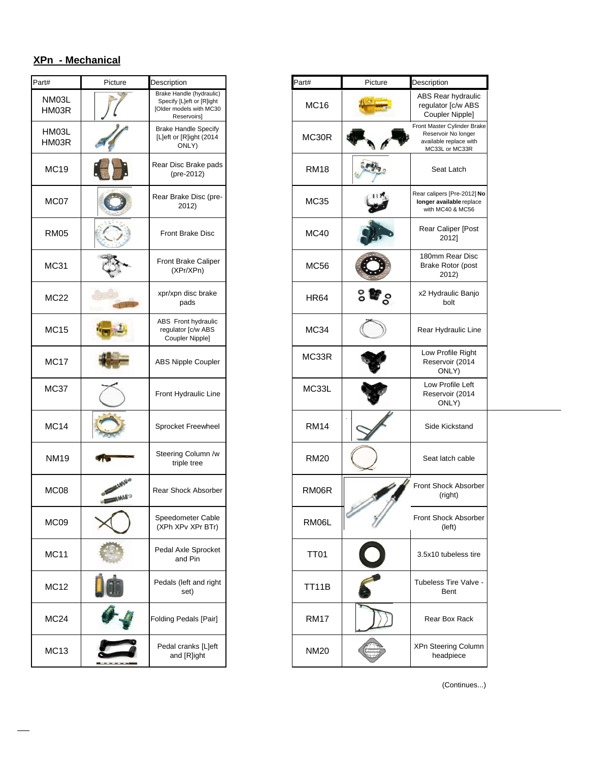| Part#            | Picture         | Description                                                                                     | Part#       | Picture | Description                                         |
|------------------|-----------------|-------------------------------------------------------------------------------------------------|-------------|---------|-----------------------------------------------------|
| NM03L<br>HM03R   |                 | Brake Handle (hydraulic)<br>Specify [L]eft or [R]ight<br>[Older models with MC30<br>Reservoirs] | <b>MC16</b> |         | ABS Rea<br>regulator<br>Coupler                     |
| HM03L<br>HM03R   |                 | <b>Brake Handle Specify</b><br>[L]eft or [R]ight (2014<br>ONLY)                                 | MC30R       |         | Front Master<br>Reservoir<br>available r<br>MC33L o |
| <b>MC19</b>      |                 | Rear Disc Brake pads<br>(pre-2012)                                                              | <b>RM18</b> |         | Seat                                                |
| MC07             |                 | Rear Brake Disc (pre-<br>2012)                                                                  | <b>MC35</b> |         | Rear calipers<br>longer avai<br>with MC4            |
| <b>RM05</b>      |                 | <b>Front Brake Disc</b>                                                                         | MC40        |         | Rear Cal<br>20                                      |
| <b>MC31</b>      |                 | Front Brake Caliper<br>(XPr/XPn)                                                                | <b>MC56</b> |         | 180mm F<br><b>Brake Ro</b><br>20                    |
| <b>MC22</b>      |                 | xpr/xpn disc brake<br>pads                                                                      | <b>HR64</b> | ႔ေ      | x2 Hydra<br>b                                       |
| <b>MC15</b>      |                 | ABS Front hydraulic<br>regulator [c/w ABS<br>Coupler Nipple]                                    | <b>MC34</b> |         | Rear Hyd                                            |
| <b>MC17</b>      |                 | <b>ABS Nipple Coupler</b>                                                                       | MC33R       |         | Low Pro<br>Reservo<br>ON                            |
| <b>MC37</b>      |                 | Front Hydraulic Line                                                                            | MC33L       |         | Low Pro<br>Reservo<br>ON                            |
| <b>MC14</b>      |                 | Sprocket Freewheel                                                                              | <b>RM14</b> |         | Side Ki                                             |
| <b>NM19</b>      |                 | Steering Column /w<br>triple tree                                                               | <b>RM20</b> |         | Seat lat                                            |
| MC <sub>08</sub> | <b>CANADIAN</b> | Rear Shock Absorber                                                                             | RM06R       | s.      | <b>Front Shoc</b><br>(riç                           |
| MC09             |                 | Speedometer Cable<br>(XPh XPv XPr BTr)                                                          | RM06L       |         | Front Shoc<br>(le                                   |
| <b>MC11</b>      |                 | Pedal Axle Sprocket<br>and Pin                                                                  | <b>TT01</b> |         | 3.5x10 tul                                          |
| <b>MC12</b>      |                 | Pedals (left and right<br>set)                                                                  | TT11B       |         | Tubeless <sub>1</sub><br>B <sub>6</sub>             |
| MC <sub>24</sub> |                 | Folding Pedals [Pair]                                                                           | <b>RM17</b> |         | Rear B                                              |
| <b>MC13</b>      |                 | Pedal cranks [L]eft<br>and [R]ight                                                              | <b>NM20</b> |         | XPn Steeri<br>head                                  |
|                  |                 |                                                                                                 |             |         | (                                                   |

\_\_\_

| t#                    | Picture | Description                                                                                     | Part#       | Picture             | Description                                                                                    |
|-----------------------|---------|-------------------------------------------------------------------------------------------------|-------------|---------------------|------------------------------------------------------------------------------------------------|
| <b>NM03L</b><br>HM03R |         | Brake Handle (hydraulic)<br>Specify [L]eft or [R]ight<br>[Older models with MC30<br>Reservoirs] | <b>MC16</b> |                     | ABS Rear hydraulic<br>regulator [c/w ABS<br>Coupler Nipple]                                    |
| HM03L<br>HM03R        |         | <b>Brake Handle Specify</b><br>[L]eft or [R]ight (2014<br>ONLY)                                 | MC30R       |                     | Front Master Cylinder Brake<br>Reservoir No longer<br>available replace with<br>MC33L or MC33R |
| MC19                  |         | Rear Disc Brake pads<br>(pre-2012)                                                              | <b>RM18</b> |                     | Seat Latch                                                                                     |
| MC07                  |         | Rear Brake Disc (pre-<br>2012)                                                                  | <b>MC35</b> |                     | Rear calipers [Pre-2012] No<br>longer available replace<br>with MC40 & MC56                    |
| <b>RM05</b>           |         | Front Brake Disc                                                                                | <b>MC40</b> |                     | Rear Caliper [Post<br>2012]                                                                    |
| MC31                  |         | Front Brake Caliper<br>(XPr/XPn)                                                                | <b>MC56</b> |                     | 180mm Rear Disc<br>Brake Rotor (post<br>2012)                                                  |
| MC22                  |         | xpr/xpn disc brake<br>pads                                                                      | <b>HR64</b> | $\mathbb{F}_\infty$ | x2 Hydraulic Banjo<br>bolt                                                                     |
| MC15                  |         | ABS Front hydraulic<br>regulator [c/w ABS<br>Coupler Nipple]                                    | <b>MC34</b> |                     | Rear Hydraulic Line                                                                            |
| MC17                  |         | ABS Nipple Coupler                                                                              | MC33R       |                     | Low Profile Right<br>Reservoir (2014<br>ONLY)                                                  |
| MC37                  |         | Front Hydraulic Line                                                                            | MC33L       |                     | Low Profile Left<br>Reservoir (2014<br>ONLY)                                                   |
| <b>MC14</b>           |         | Sprocket Freewheel                                                                              | <b>RM14</b> |                     | Side Kickstand                                                                                 |
| <b>NM19</b>           |         | Steering Column /w<br>triple tree                                                               | <b>RM20</b> |                     | Seat latch cable                                                                               |
| MC08                  |         | Rear Shock Absorber                                                                             | RM06R       |                     | Front Shock Absorber<br>(right)                                                                |
| MC09                  |         | Speedometer Cable<br>(XPh XPv XPr BTr)                                                          | RM06L       |                     | Front Shock Absorber<br>(left)                                                                 |
| MC11                  |         | Pedal Axle Sprocket<br>and Pin                                                                  | <b>TT01</b> |                     | 3.5x10 tubeless tire                                                                           |
| MC12                  |         | Pedals (left and right<br>set)                                                                  | TT11B       |                     | Tubeless Tire Valve -<br>Bent                                                                  |
| MC24                  |         | Folding Pedals [Pair]                                                                           | <b>RM17</b> |                     | Rear Box Rack                                                                                  |
| MC13                  |         | Pedal cranks [L]eft<br>and [R]ight                                                              | <b>NM20</b> |                     | XPn Steering Column<br>headpiece                                                               |

(Continues...)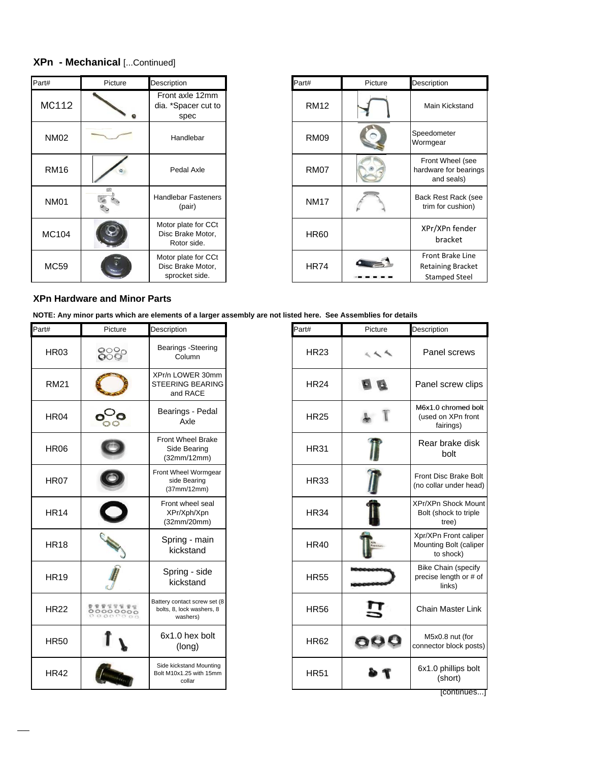#### **XPn - Mechanical** [...Continued]

| Part#        | Picture | Description                                                | Part#       | Picture | Description                                    |
|--------------|---------|------------------------------------------------------------|-------------|---------|------------------------------------------------|
| MC112        |         | Front axle 12mm<br>dia. *Spacer cut to<br>spec             | <b>RM12</b> |         | Main Kicks                                     |
| <b>NM02</b>  |         | Handlebar                                                  | <b>RM09</b> |         | Speedometer<br>Wormgear                        |
| <b>RM16</b>  |         | Pedal Axle                                                 | <b>RM07</b> |         | <b>Front Whee</b><br>hardware for I<br>and sea |
| <b>NM01</b>  |         | <b>Handlebar Fasteners</b><br>(pair)                       | <b>NM17</b> |         | <b>Back Rest Ra</b><br>trim for cus            |
| <b>MC104</b> |         | Motor plate for CCt<br>Disc Brake Motor,<br>Rotor side.    | <b>HR60</b> |         | XPr/XPn fe<br>bracke                           |
| MC59         |         | Motor plate for CCt<br>Disc Brake Motor,<br>sprocket side. | <b>HR74</b> |         | Front Brak<br><b>Retaining B</b><br>Stamped !  |

| Part#       | Picture | Description                                                          |
|-------------|---------|----------------------------------------------------------------------|
| RM12        |         | Main Kickstand                                                       |
| <b>RM09</b> |         | Speedometer<br>Wormgear                                              |
| RM07        |         | Front Wheel (see<br>hardware for bearings<br>and seals)              |
| <b>NM17</b> |         | Back Rest Rack (see<br>trim for cushion)                             |
| <b>HR60</b> |         | XPr/XPn fender<br>bracket                                            |
| <b>HR74</b> |         | Front Brake Line<br><b>Retaining Bracket</b><br><b>Stamped Steel</b> |
|             |         |                                                                      |

#### **XPn Hardware and Minor Parts**

**NOTE: Any minor parts which are elements of a larger assembly are not listed here. See Assemblies for details**

| Part#            | Picture                              | Description                                                           | Part#       | Picture                                                                                                                                                                                                                                                                                                                                             | Description                             |
|------------------|--------------------------------------|-----------------------------------------------------------------------|-------------|-----------------------------------------------------------------------------------------------------------------------------------------------------------------------------------------------------------------------------------------------------------------------------------------------------------------------------------------------------|-----------------------------------------|
| HR <sub>03</sub> | 888                                  | Bearings - Steering<br>Column                                         | <b>HR23</b> | $\begin{picture}(180,10) \put(0,0){\line(1,0){10}} \put(10,0){\line(1,0){10}} \put(10,0){\line(1,0){10}} \put(10,0){\line(1,0){10}} \put(10,0){\line(1,0){10}} \put(10,0){\line(1,0){10}} \put(10,0){\line(1,0){10}} \put(10,0){\line(1,0){10}} \put(10,0){\line(1,0){10}} \put(10,0){\line(1,0){10}} \put(10,0){\line(1,0){10}} \put(10,0){\line($ | Panel                                   |
| <b>RM21</b>      |                                      | XPr/n LOWER 30mm<br><b>STEERING BEARING</b><br>and RACE               | <b>HR24</b> |                                                                                                                                                                                                                                                                                                                                                     | Panel sc                                |
| <b>HR04</b>      |                                      | Bearings - Pedal<br>Axle                                              | <b>HR25</b> |                                                                                                                                                                                                                                                                                                                                                     | M6x1.0 ch<br>(used on<br>fairi          |
| <b>HR06</b>      |                                      | <b>Front Wheel Brake</b><br>Side Bearing<br>(32mm/12mm)               | <b>HR31</b> |                                                                                                                                                                                                                                                                                                                                                     | Rear br<br>b٥                           |
| <b>HR07</b>      |                                      | Front Wheel Wormgear<br>side Bearing<br>(37mm/12mm)                   | <b>HR33</b> |                                                                                                                                                                                                                                                                                                                                                     | <b>Front Disc</b><br>(no collar u       |
| <b>HR14</b>      |                                      | Front wheel seal<br>XPr/Xph/Xpn<br>(32mm/20mm)                        | <b>HR34</b> |                                                                                                                                                                                                                                                                                                                                                     | XPr/XPn S<br>Bolt (shoo<br>tre          |
| <b>HR18</b>      |                                      | Spring - main<br>kickstand                                            | <b>HR40</b> | <b>ront Callin</b>                                                                                                                                                                                                                                                                                                                                  | Xpr/XPn F<br><b>Mounting E</b><br>to sh |
| <b>HR19</b>      |                                      | Spring - side<br>kickstand                                            | <b>HR55</b> |                                                                                                                                                                                                                                                                                                                                                     | <b>Bike Chai</b><br>precise ler<br>lin  |
| <b>HR22</b>      | <b>WWW</b> W<br>00000000<br>00000000 | Battery contact screw set (8<br>bolts, 8, lock washers, 8<br>washers) | <b>HR56</b> |                                                                                                                                                                                                                                                                                                                                                     | Chain Ma                                |
| <b>HR50</b>      |                                      | 6x1.0 hex bolt<br>(long)                                              | <b>HR62</b> |                                                                                                                                                                                                                                                                                                                                                     | M5x0.8<br>connector b                   |
| <b>HR42</b>      |                                      | Side kickstand Mounting<br>Bolt M10x1.25 with 15mm<br>collar          | <b>HR51</b> |                                                                                                                                                                                                                                                                                                                                                     | 6x1.0 ph<br>(sh                         |

| tion                                                 | Part#       | Picture | Description                                                    |
|------------------------------------------------------|-------------|---------|----------------------------------------------------------------|
| ngs -Steering<br>Column                              | <b>HR23</b> |         | Panel screws                                                   |
| OWER 30mm<br>ING BEARING<br>nd RACE                  | <b>HR24</b> |         | Panel screw clips                                              |
| ings - Pedal<br>Axle                                 | <b>HR25</b> |         | M6x1.0 chromed bolt<br>(used on XPn front<br>fairings)         |
| <b>Wheel Brake</b><br>de Bearing<br>mm/12mm)         | <b>HR31</b> |         | Rear brake disk<br>bolt                                        |
| heel Wormgear<br>de Bearing<br>mm/12mm)              | <b>HR33</b> |         | <b>Front Disc Brake Bolt</b><br>(no collar under head)         |
| t wheel seal<br>r/Xph/Xpn<br>mm/20mm)                | <b>HR34</b> |         | <b>XPr/XPn Shock Mount</b><br>Bolt (shock to triple<br>tree)   |
| ing - main<br>ckstand                                | <b>HR40</b> |         | Xpr/XPn Front caliper<br>Mounting Bolt (caliper<br>to shock)   |
| ring - side<br>ckstand                               | <b>HR55</b> |         | <b>Bike Chain (specify</b><br>precise length or # of<br>links) |
| ontact screw set (8<br>, lock washers, 8<br>washers) | <b>HR56</b> |         | <b>Chain Master Link</b>                                       |
| .0 hex bolt<br>(long)                                | <b>HR62</b> |         | M5x0.8 nut (for<br>connector block posts)                      |
| ckstand Mounting<br>$25$ with 15mm<br>collar         | <b>HR51</b> |         | 6x1.0 phillips bolt<br>(short)                                 |
|                                                      |             |         | continues                                                      |